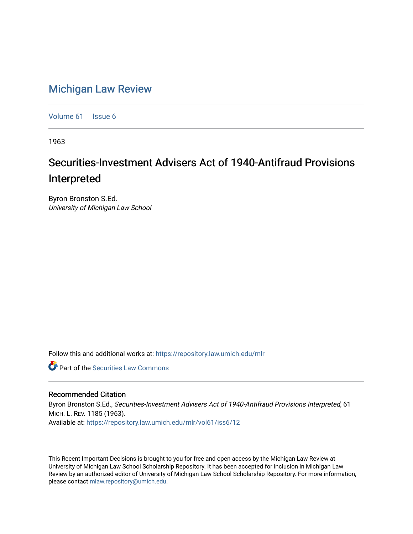## [Michigan Law Review](https://repository.law.umich.edu/mlr)

[Volume 61](https://repository.law.umich.edu/mlr/vol61) | [Issue 6](https://repository.law.umich.edu/mlr/vol61/iss6)

1963

## Securities-Investment Advisers Act of 1940-Antifraud Provisions Interpreted

Byron Bronston S.Ed. University of Michigan Law School

Follow this and additional works at: [https://repository.law.umich.edu/mlr](https://repository.law.umich.edu/mlr?utm_source=repository.law.umich.edu%2Fmlr%2Fvol61%2Fiss6%2F12&utm_medium=PDF&utm_campaign=PDFCoverPages) 

**C** Part of the Securities Law Commons

## Recommended Citation

Byron Bronston S.Ed., Securities-Investment Advisers Act of 1940-Antifraud Provisions Interpreted, 61 MICH. L. REV. 1185 (1963). Available at: [https://repository.law.umich.edu/mlr/vol61/iss6/12](https://repository.law.umich.edu/mlr/vol61/iss6/12?utm_source=repository.law.umich.edu%2Fmlr%2Fvol61%2Fiss6%2F12&utm_medium=PDF&utm_campaign=PDFCoverPages) 

This Recent Important Decisions is brought to you for free and open access by the Michigan Law Review at University of Michigan Law School Scholarship Repository. It has been accepted for inclusion in Michigan Law Review by an authorized editor of University of Michigan Law School Scholarship Repository. For more information, please contact [mlaw.repository@umich.edu.](mailto:mlaw.repository@umich.edu)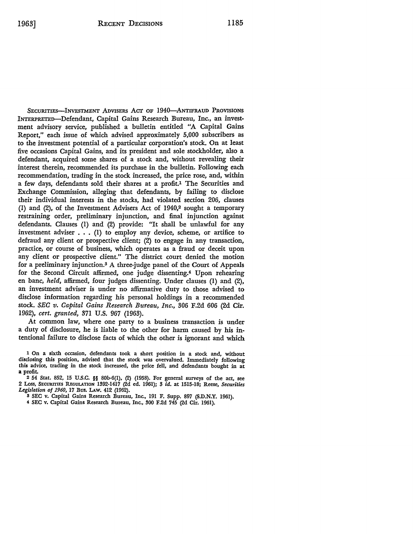SECURITIES-INVESTMENT ADVISERS ACT OF 1940-ANTIFRAUD PROVISIONS INTERPRETED-Defendant, Capital Gains Research Bureau, *Inc.,* an investment advisory service, published a bulletin entitled "A Capital Gains Report," each issue of which advised approximately 5,000 subscribers as to the investment potential of a particular corporation's stock. On at least five occasions Capital Gains, and its president and sole stockholder, also a defendant, acquired some shares of a stock and, without revealing their interest therein, recommended its purchase in the bulletin. Following each recommendation, trading in the stock increased, the price rose, and, within a few days, defendants sold their shares at a profit.1 The Securities and Exchange Commission, alleging that defendants, by failing to disclose their individual interests in the *stocks,* had violated section 206, clauses (1) and (2), of the Investment Advisers Act of  $1940<sub>i</sub><sup>2</sup>$  sought a temporary restraining order, preliminary injunction, and final injunction against defendants. Clauses (I) and (2) provide: "It shall be unlawful for any investment adviser  $\dots$  (1) to employ any device, scheme, or artifice to defraud any client or prospective client; (2) to engage in any transaction, practice, or course of business, which operates as a fraud or deceit upon any client or prospective client." The district court denied the motion for a preliminary injunction.3 A three-judge panel of the Court of Appeals for the Second Circuit affirmed, one judge dissenting.4 Upon rehearing en bane, *held,* affirmed, four judges dissenting. Under clauses (I) and (2), an investment adviser is under no affirmative duty to those advised to disclose information regarding his personal holdings in a recommended stock. *SEC v. Capital Gains Research Bureau, Inc.,* 306 F.2d 606 (2d Cir. 1962), *cert. granted,* 371 U.S. 967 (1963).

At common law, where one party to a business transaction is under a duty of disclosure, he is liable to the other for harm caused by his intentional failure to disclose facts of which the other is ignorant and which.

1 On a sixth occasion, defendants took a short position in a stock and, without disclosing this position, advised that the stock was overvalued. Immediately following this advice, trading in the stock increased, the price fell, and defendants bought in at **a** profit.

2 54 Stat. 852, 15 U.S.C. §§ SOb-6(1), (2) (1958). For general surveys of the act, see 2 Loss, SECURITIES REGULATION 1392-1417 (2d ed. 1961); 3 *id.* at 1515-18; Reese, *Securities Legislation of 1960,* 17 Bus. I.Aw. 412 (1962).

3 SEC v. Capital Gains Research Bureau, Inc., 191 F. Supp. 897 (S.D.N.Y. 1961).

4 SEC v. Capital Gains Research Bureau, Inc., 300 F.2d 745 (2d Cir. 1961).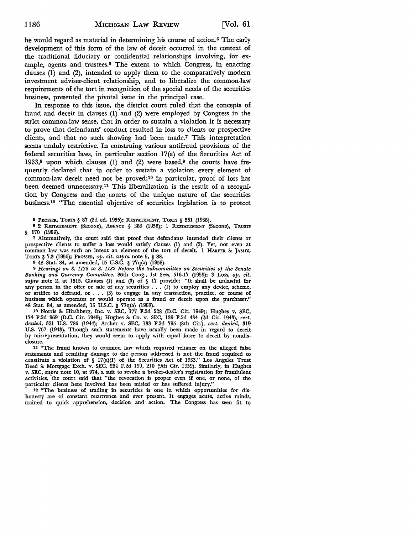he would regard as material in determining his course of action.5 The early development of this form of the law of deceit occurred in the context of the traditional fiduciary or confidential relationships involving, for example, agents and trustees.<sup>6</sup> The extent to which Congress, in enacting clauses (I) and (2), intended to apply them to the comparatively modem investment adviser-client relationship, and to liberalize the common-law requirements of the tort in recognition of the special needs of the securities business, presented the pivotal issue in the principal case.

In response to this issue, the district court ruled that the concepts of fraud and deceit in clauses  $(1)$  and  $(2)$  were employed by Congress in the strict common-law sense, that in order to sustain a violation it is necessary to prove that defendants' conduct resulted in loss to clients or prospective clients, and that no such showing had been made.7 This interpretation seems unduly restrictive. In construing various antifraud provisions of the federal securities laws, in particular section 17(a) of the Securities Act of 1933,<sup>8</sup> upon which clauses (1) and (2) were based, $9$  the courts have frequently declared that in order to sustain a violation every element of common-law deceit need not be proved;10 in particular, proof of loss has been deemed unnecessary.11 This liberalization is the result of a recognition by Congress and the courts of the unique nature of the securities business.12 "The essential objective of securities legislation is to protect

5 PROSSER, TORTS§ 87 (2d ed. 1955); REsTATEMENT, TORTS § 551 (1938).

6 2 REsTATEMENT (SECOND), AGENCY § 389 (1958); 1 REsTATEMENT (SECOND), TRusrs § 170 (1959).

<sup>7</sup>Alternatively, the court said that proof that defendants intended their clients or prospective clients to suffer a loss would satisfy clauses (1) and (2). Yet, not even at common law was such an intent an element of the tort of deceit. 1 HARPER &: JAMES, TORTS § 7.3 (1956); PROSSER, *op. cit. supra* note 5, § 88.

s 48 Stat. 84, as amended, 15 U.S.C. § 77q(a) (1958).

9 *Hearings on S. 1178 to S. 1182 Before the Subcommittee on Securities of the Senate Banking and Currency Committee,* 86th Cong., 1st Sess. 516-17 (1959); 3 Loss, *op. cit. supra* note 2, at 1515. Clauses (1) and (3) of § 17 provide: "It shall be unlawful for supra note z, at 1919. Clauses (1) and (9) or  $\frac{1}{2}$  if provide: It shall be unlawful for any person in the offer or sale of any securities  $\dots$  (1) to employ any device, scheme, or artifice to defraud, or  $\dots$  (3) to business which operates or would operate as a fraud or deceit upon the purchaser." 48 Stat. 84, as amended, 15 U.S.C. § 77q(a) (1958).

10 Norris &: Hirshberg, Inc. v. SEC, 177 F.2d 228 (D.C. Cir. 1949); Hughes v. SEC, 174 F.2d 969 (D.C. Cir. 1949); Hughes &: Co. v. SEC, 139 F.2d 434 (2d Cir. 1943), *cert. denied,* 321 U.S. 786 (1944); Archer v. SEC, 133 F.2d 795 (8th Cir.), *cert. denied,* 319 U.S. 767 (1943). Though such statements have usually been made in regard to deceit by misrepresentation, they would seem to apply with equal force to deceit by nondisclosure.

11 "The fraud known to common law which required reliance on the alleged false statements and resulting damage to the person addressed is not the fraud required to constitute a violation of § 17(a)(l) of the Securities Act of 1933." Los Angeles Trust Deed &: Mortgage Exch. v. SEC, 264 F.2d 199, 210 (9th Cir. 1959). Similarly, in Hughes v. SEC, *supra* note 10, at 974, a suit to revoke a broker-dealer's registration for fraudulent activities, the court said that "the revocation is proper even if one, or none, of the particular clients here involved has been misled or has suffered injury."

12 "The business of trading in securities is one in which opportunities for dishonesty are of constant recurrence and ever present. It engages acute, active minds, trained to quick apprehension, decision and action. The Congress has seen fit to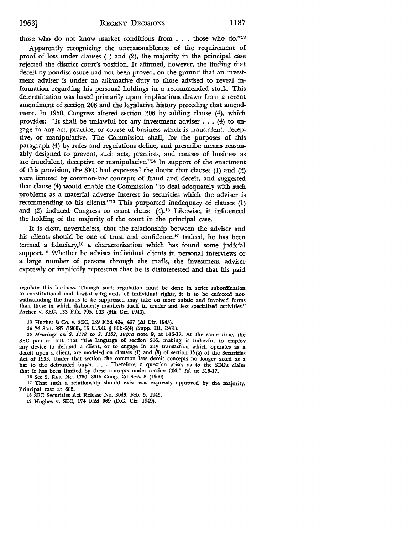those who do not know market conditions from . . . those who do."13

Apparently recognizing the unreasonableness of the requirement of proof of loss under clauses (I) and (2), the majority in the principal case rejected the district court's position. It affirmed, however, the finding that deceit by nondisclosure had not been proved, on the ground that an investment adviser is under no affirmative duty to those advised to reveal information regarding his personal holdings in a recommended stock. This determination was based primarily upon implications drawn from a recent amendment of section 206 and the legislative history preceding that amendment. In 1960, Congress altered section 206 by adding clause (4), which provides: "It shall be unlawful for any investment adviser ... (4) to engage in any act, practice, or course of business which is fraudulent, deceptive, or manipulative. The Commission shall, for the purposes of this paragraph (4) by rules and regulations define, and prescribe means reasonably designed to prevent, such acts, practices, and courses of business as are fraudulent, deceptive or manipulative."14 In support of the enactment of this provision, the SEC had expressed the doubt that clauses (I) and (2) were limited by common-law concepts of fraud and deceit, and suggested that clause (4) would enable the Commission "to deal adequately with such problems as a material adverse interest in securities which the adviser is recommending to his clients."15 This purported inadequacy of clauses (I) and (2) induced Congress to enact clause (4).16 Likewise, it influenced the holding of the majority of the court in the principal case.

It is clear, nevertheless, that the relationship between the adviser and his clients should be one of trust and confidence.17 Indeed, he has been termed a fiduciary,18 a characterization which has found some judicial support.10 Whether he advises individual clients in personal interviews or a large number of persons through the mails, the investment adviser expressly or impliedly represents that he is disinterested and that his paid

regulate this business. Though such regulation must be done in strict subordination to constitutional and lawful safeguards of individual rights, it is to be enforced notwithstanding the frauds to be suppressed may take on more subtle and involved forms than those in which dishonesty manifests itself in cruder and less specialized activities." Archer v. SEC, 133 F.2d 795, 803 (8th Cir. 1943).

13 Hughes & Co. v. SEC, 139 F.2d 434, 437 (2d Cir. 1943).

14 74 Stat. 887 (1960), 15 U.S.C. § 80b-6(4) (Supp. III, 1961).

15 *Hearings on S. 1178 to S. 1182, supra* note 9, at 516-17. At the same time, the SEC pointed out that "the language of section 206, making it unlawful to employ any device to defraud a client, or to engage in any transaction which operates as a deceit upon a client, are modeled on clauses (1) and (3) of section  $17(a)$  of the Securities Act of 1933. Under that section the common law deceit concepts no longer acted as a bar to the defrauded buyer. • • . Therefore, a question arises as to the SEC's claim that it has been limited by these concepts under section 206." *Id.* at 516-17.

16 See S. REP. No. 1760, 86th Cong., 2d Sess. 8 (1960).

17 That such a relationship should exist was expressly approved by the majority. Principal case at 608.

18 SEC Securities Act Release No. 3043, Feb. 5, 1945.

10 Hughes v. SEC, 174 F.2d 969 (D.C. Cir. 1949).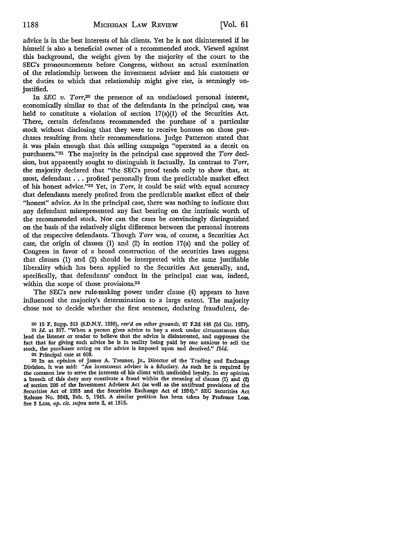advice is in the best interests of his clients. Yet he is not disinterested if he himself is also a beneficial owner of a recommended stock. Viewed against this background, the weight given by the majority of the court to the SEC's pronouncements before Congress, without an actual examination of the relationship between the investment adviser and his customers or the duties to which that relationship might give rise, is seemingly unjustified.

In *SEC v. Torr,20* the presence of an undisclosed personal interest, economically similar to that of the defendants in the principal case, was held to constitute a violation of section  $17(a)(1)$  of the Securities Act. There, certain defendants recommended the purchase of a particular stock without disclosing that they were to receive bonuses on those purchases resulting from their recommendations. Judge Patterson stated that *it* was plain enough that this selling campaign "operated as a deceit on purchasers.''21 The majority in the principal case approved the *Torr* decision, but apparently sought to distinguish it factually. In contrast to *Torr,*  the majority declared that "the SEC's proof tends only to show that, at .most, defendant ... profited personally from the predictable market effect of his honest advice."22 Yet, in *Torr,* it could be said with equal accuracy -that defendants merely profited from the predictable market effect of their "honest" advice. As in the principal case, there was nothing to indicate that any defendant misrepresented any fact bearing on the intrinsic worth of the recommended stock. Nor can the cases be convincingly distinguished on the basis of the relatively slight difference between the personal interests of the respective defendants. Though *Torr* was, of course, a Securities Act case, the origin of clauses  $(1)$  and  $(2)$  in section  $17(a)$  and the policy of Congress in favor of a broad construction of the securities laws suggest that clauses (1) and (2) should be interpreted with the same justifiable liberality which has been applied to the Securities Act generally, and, specifically, that defendants' conduct in the principal case was, indeed, within the scope of those provisions.<sup>23</sup>

The SEC's new rule-making power under clause (4) appears to have influenced the majority's determination to a large extent. The majority chose not to decide whether the first sentence, declaring fraudulent, de-

20 15 F. Supp. 315 (S,D.N.Y. 1936), *rev'd on other grounds,* 87 F.2d 446 (2d Cir. 1937).

21 *Id.* at 317. "When a person gives advice to buy a stock under circumstances that lead the listener or reader to believe that the advice is disinterested, and suppresses the fact that for giving such advice he is in reality being paid by one anxious to sell the stock, the purchaser acting on the advice is imposed upon and deceived." *Ibid.* 

22 Principal case at 609.

23 In an opinion of James A. Treanor, Jr., Director of the Trading and Exchange Division, it was said: "An investment adviser is a fiduciary. As such he is required by the common law to serve the interests of his client with undivided loyalty. In my opinion a breach of this duty may constitute a fraud within the meaning of clauses (1) and (2) of section 206 of the Investment Advisers Act (as well as the antifraud provisions of the Securities Act of 1933 and the Securities Exchange Act of 1934)." SEC Securities Act Release No. 3043, Feb. 5, 1945. A similar position has been taken by Professor Loss. See 3 Loss, *op. cit. supra* note 2, at 1515.